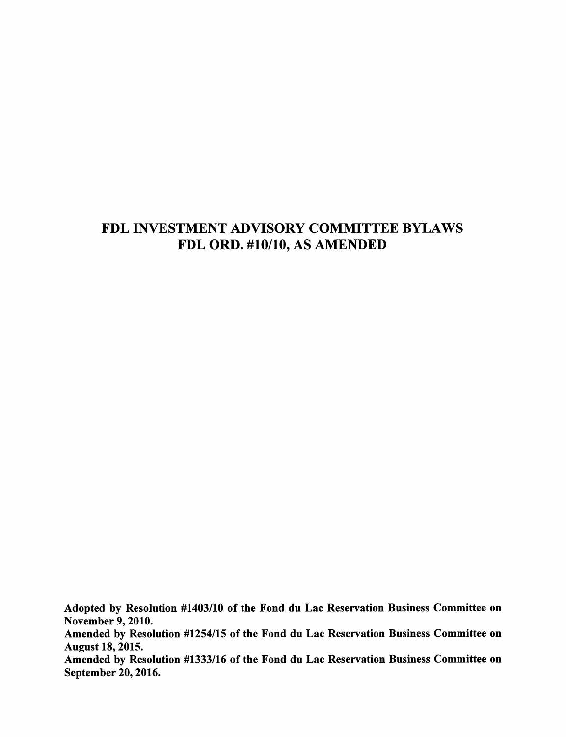# FDL INVESTMENT ADVISORY COMMITTEE BYLAWS FDL ORD. #10/10, AS AMENDED

Adopted by Resolution #1403/10 of the Fond du Lac Reservation Business Committee on November 9,2010. Amended by Resolution #1254/15 of the Fond du Lac Reservation Business Committee on August 18,2015. Amended by Resolution #1333/16 of the Fond du Lac Reservation Business Committee on September 20,2016.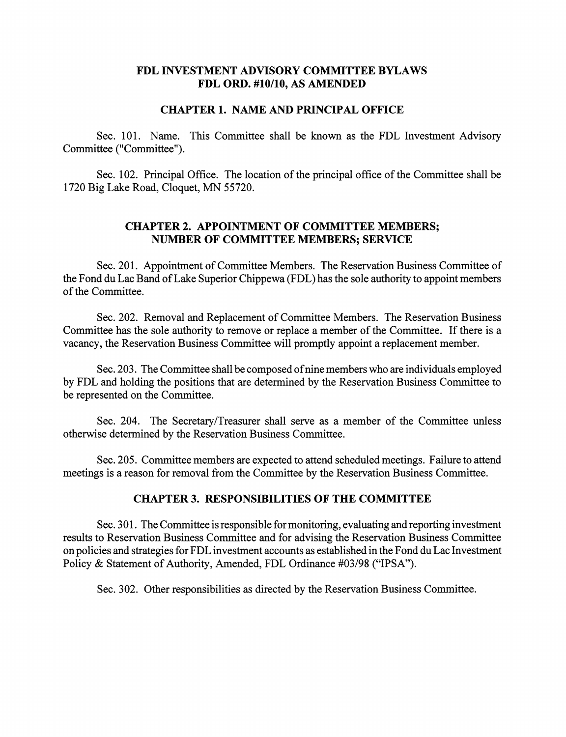# FDL INVESTMENT ADVISORY COMMITTEE BYLAWS FDL ORD. #10/10, AS AMENDED

## CHAPTER 1. NAME AND PRINCIPAL OFFICE

Sec. 101. Name. This Committee shall be known as the FDL Investment Advisory Committee ("Committee").

Sec. 102. Principal Office. The location of the principal office of the Committee shall be 1720 Big Lake Road, Cloquet, MN 55720.

# CHAPTER 2. APPOINTMENT OF COMMITTEE MEMBERS; NUMBER OF COMMITTEE MEMBERS; SERVICE

Sec. 201. Appointment of Committee Members. The Reservation Business Committee of the Fond du Lac Band ofLake Superior Chippewa (FDL) has the sole authority to appoint members of the Committee.

Sec. 202. Removal and Replacement of Committee Members. The Reservation Business Committee has the sole authority to remove or replace a member of the Committee. If there is a vacancy, the Reservation Business Committee will promptly appoint a replacement member.

Sec. 203. The Committee shall be composed of nine members who are individuals employed by FDL and holding the positions that are determined by the Reservation Business Committee to be represented on the Committee.

Sec. 204. The Secretary/Treasurer shall serve as a member of the Committee unless otherwise determined by the Reservation Business Committee.

Sec. 205. Committee members are expected to attend scheduled meetings. Failure to attend meetings is a reason for removal from the Committee by the Reservation Business Committee.

# CHAPTER 3. RESPONSIBILITIES OF THE COMMITTEE

Sec. 301. The Committee is responsible for monitoring, evaluating and reporting investment results to Reservation Business Committee and for advising the Reservation Business Committee on policies and strategies for FDL investment accounts as established in the Fond du Lac Investment Policy & Statement of Authority, Amended, FDL Ordinance #03/98 ("IPSA").

Sec. 302. Other responsibilities as directed by the Reservation Business Committee.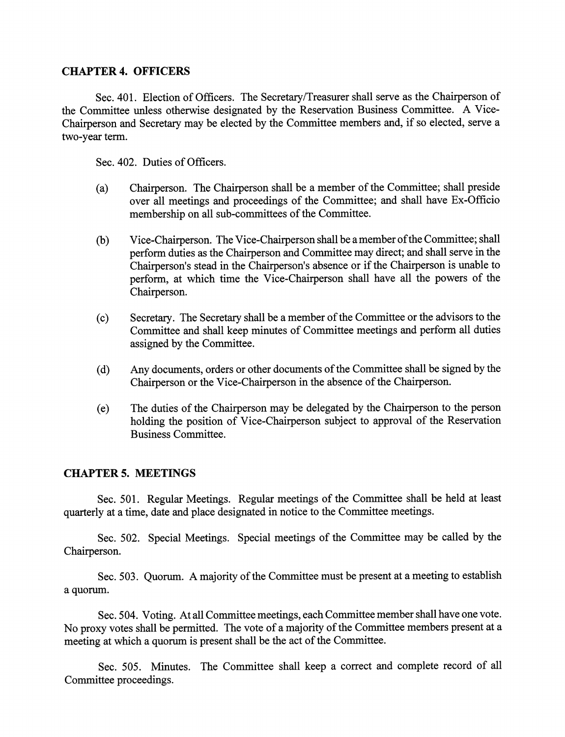# CHAPTER 4. OFFICERS

Sec. 401. Election of Officers. The Secretary/Treasurer shall serve as the Chairperson of the Committee unless otherwise designated by the Reservation Business Committee. A Vice-Chairperson and Secretary may be elected by the Committee members and, if so elected, serve a two-year term.

Sec. 402. Duties of Officers.

- (a) Chairperson. The Chairperson shall be a member of the Committee; shall preside over all meetings and proceedings of the Committee; and shall have Ex-Officio membership on all sub-committees of the Committee.
- (b) Vice-Chairperson. The Vice-Chairperson shall be a member of the Committee; shall perform duties as the Chairperson and Committee may direct; and shall serve in the Chairperson's stead in the Chairperson's absence or if the Chairperson is unable to perform, at which time the Vice-Chairperson shall have all the powers of the Chairperson.
- (c) Secretary. The Secretary shall be a member of the Committee or the advisors to the Committee and shall keep minutes of Committee meetings and perform all duties assigned by the Committee.
- (d) Any documents, orders or other documents of the Committee shall be signed by the Chairperson or the Vice-Chairperson in the absence of the Chairperson.
- (e) The duties of the Chairperson may be delegated by the Chairperson to the person holding the position of Vice-Chairperson subject to approval of the Reservation Business Committee.

#### CHAPTERS. MEETINGS

Sec. 501. Regular Meetings. Regular meetings of the Committee shall be held at least quarterly at a time, date and place designated in notice to the Committee meetings.

Sec. 502. Special Meetings. Special meetings of the Committee may be called by the Chairperson.

Sec. 503. Quorum. A majority of the Committee must be present at a meeting to establish a quorum.

Sec. 504. Voting. At all Committee meetings, each Committee member shall have one vote. No proxy votes shall be permitted. The vote of a majority of the Committee members present at a meeting at which a quorum is present shall be the act of the Committee.

Sec. 505. Minutes. The Committee shall keep a correct and complete record of all Committee proceedings.